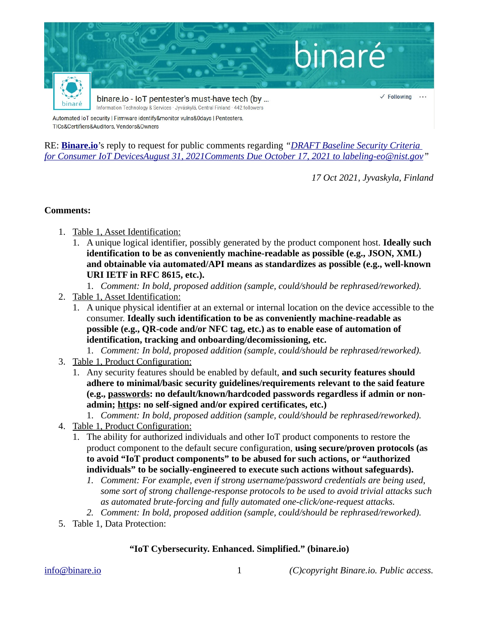

RE: **[Binare.io](https://binare.io/)**'s reply to request for public comments regarding *"[DRAFT Baseline Security Criteria](https://www.nist.gov/system/files/documents/2021/08/31/IoT%20White%20Paper%20-%20Final%202021-08-31.pdf)  for Consumer IoT DevicesAugust 31, 2021Comments Due October 17, 2021 to [labeling-eo@nist.gov"](mailto:labeling-eo@nist.gov)* 

*17 Oct 2021, Jyvaskyla, Finland*

## **Comments:**

- 1. Table 1, Asset Identification:
	- 1. A unique logical identifier, possibly generated by the product component host. **Ideally such identification to be as conveniently machine-readable as possible (e.g., JSON, XML) and obtainable via automated/API means as standardizes as possible (e.g., well-known URI IETF in RFC 8615, etc.).** 
		- 1. *Comment: In bold, proposed addition (sample, could/should be rephrased/reworked).*
- 2. Table 1, Asset Identification:
	- 1. A unique physical identifier at an external or internal location on the device accessible to the consumer. **Ideally such identification to be as conveniently machine-readable as possible (e.g., QR-code and/or NFC tag, etc.) as to enable ease of automation of identification, tracking and onboarding/decomissioning, etc.**

1. *Comment: In bold, proposed addition (sample, could/should be rephrased/reworked).*

- 3. Table 1, Product Configuration:
	- 1. Any security features should be enabled by default, **and such security features should adhere to minimal/basic security guidelines/requirements relevant to the said feature (e.g., passwords: no default/known/hardcoded passwords regardless if admin or nonadmin; https: no self-signed and/or expired certificates, etc.)**

## 1. *Comment: In bold, proposed addition (sample, could/should be rephrased/reworked).*

- 4. Table 1, Product Configuration:
	- 1. The ability for authorized individuals and other IoT product components to restore the product component to the default secure configuration, **using secure/proven protocols (as to avoid "IoT product components" to be abused for such actions, or "authorized individuals" to be socially-engineered to execute such actions without safeguards).**
		- *1. Comment: For example, even if strong username/password credentials are being used, some sort of strong challenge-response protocols to be used to avoid trivial attacks such as automated brute-forcing and fully automated one-click/one-request attacks.*
		- *2. Comment: In bold, proposed addition (sample, could/should be rephrased/reworked).*
- 5. Table 1, Data Protection:

## **"IoT Cybersecurity. Enhanced. Simplified." (binare.io)**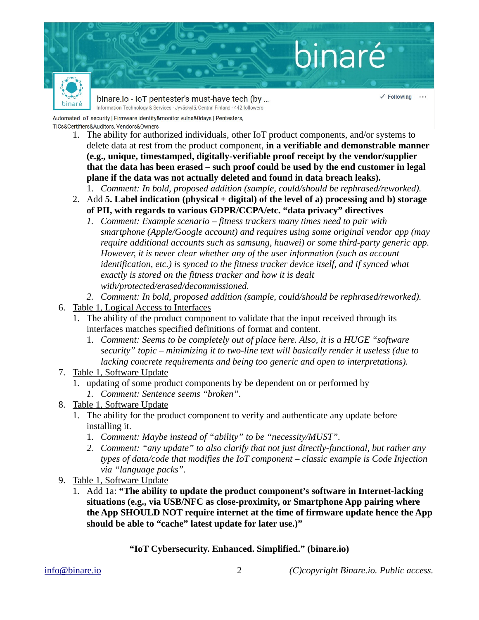

- 1. The ability for authorized individuals, other IoT product components, and/or systems to delete data at rest from the product component, **in a verifiable and demonstrable manner (e.g., unique, timestamped, digitally-verifiable proof receipt by the vendor/supplier that the data has been erased – such proof could be used by the end customer in legal plane if the data was not actually deleted and found in data breach leaks).**
	- 1. *Comment: In bold, proposed addition (sample, could/should be rephrased/reworked).*
	- 2. Add **5. Label indication (physical + digital) of the level of a) processing and b) storage of PII, with regards to various GDPR/CCPA/etc. "data privacy" directives**
		- *1. Comment: Example scenario fitness trackers many times need to pair with smartphone (Apple/Google account) and requires using some original vendor app (may require additional accounts such as samsung, huawei) or some third-party generic app. However, it is never clear whether any of the user information (such as account identification, etc.) is synced to the fitness tracker device itself, and if synced what exactly is stored on the fitness tracker and how it is dealt with/protected/erased/decommissioned.*
	- *2. Comment: In bold, proposed addition (sample, could/should be rephrased/reworked).*
- 6. Table 1, Logical Access to Interfaces
	- 1. The ability of the product component to validate that the input received through its interfaces matches specified definitions of format and content.
		- 1. *Comment: Seems to be completely out of place here. Also, it is a HUGE "software security" topic – minimizing it to two-line text will basically render it useless (due to lacking concrete requirements and being too generic and open to interpretations).*
- 7. Table 1, Software Update
	- 1. updating of some product components by be dependent on or performed by *1. Comment: Sentence seems "broken".*
- 8. Table 1, Software Update
	- 1. The ability for the product component to verify and authenticate any update before installing it.
		- 1. *Comment: Maybe instead of "ability" to be "necessity/MUST".*
		- *2. Comment: "any update" to also clarify that not just directly-functional, but rather any types of data/code that modifies the IoT component – classic example is Code Injection via "language packs".*
- 9. Table 1, Software Update
	- 1. Add 1a: **"The ability to update the product component's software in Internet-lacking situations (e.g., via USB/NFC as close-proximity, or Smartphone App pairing where the App SHOULD NOT require internet at the time of firmware update hence the App should be able to "cache" latest update for later use.)"**

## **"IoT Cybersecurity. Enhanced. Simplified." (binare.io)**

[info@binare.io](mailto:info@binare.io) 2 *(C)copyright Binare.io. Public access.*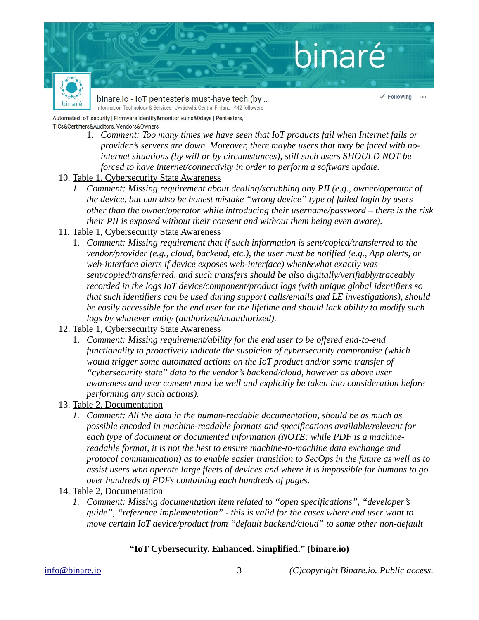

- 1. *Comment: Too many times we have seen that IoT products fail when Internet fails or provider's servers are down. Moreover, there maybe users that may be faced with nointernet situations (by will or by circumstances), still such users SHOULD NOT be forced to have internet/connectivity in order to perform a software update.*
- 10. Table 1, Cybersecurity State Awareness
	- *1. Comment: Missing requirement about dealing/scrubbing any PII (e.g., owner/operator of the device, but can also be honest mistake "wrong device" type of failed login by users other than the owner/operator while introducing their username/password – there is the risk their PII is exposed without their consent and without them being even aware).*
- 11. Table 1, Cybersecurity State Awareness
	- 1. *Comment: Missing requirement that if such information is sent/copied/transferred to the vendor/provider (e.g., cloud, backend, etc.), the user must be notified (e.g., App alerts, or web-interface alerts if device exposes web-interface) when&what exactly was sent/copied/transferred, and such transfers should be also digitally/verifiably/traceably recorded in the logs IoT device/component/product logs (with unique global identifiers so that such identifiers can be used during support calls/emails and LE investigations), should be easily accessible for the end user for the lifetime and should lack ability to modify such logs by whatever entity (authorized/unauthorized).*
- 12. Table 1, Cybersecurity State Awareness
	- 1. *Comment: Missing requirement/ability for the end user to be offered end-to-end functionality to proactively indicate the suspicion of cybersecurity compromise (which would trigger some automated actions on the IoT product and/or some transfer of "cybersecurity state" data to the vendor's backend/cloud, however as above user awareness and user consent must be well and explicitly be taken into consideration before performing any such actions).*
- 13. Table 2, Documentation
	- *1. Comment: All the data in the human-readable documentation, should be as much as possible encoded in machine-readable formats and specifications available/relevant for each type of document or documented information (NOTE: while PDF is a machinereadable format, it is not the best to ensure machine-to-machine data exchange and protocol communication) as to enable easier transition to SecOps in the future as well as to assist users who operate large fleets of devices and where it is impossible for humans to go over hundreds of PDFs containing each hundreds of pages.*
- 14. Table 2, Documentation
	- *1. Comment: Missing documentation item related to "open specifications", "developer's guide", "reference implementation" - this is valid for the cases where end user want to move certain IoT device/product from "default backend/cloud" to some other non-default*

# **"IoT Cybersecurity. Enhanced. Simplified." (binare.io)**